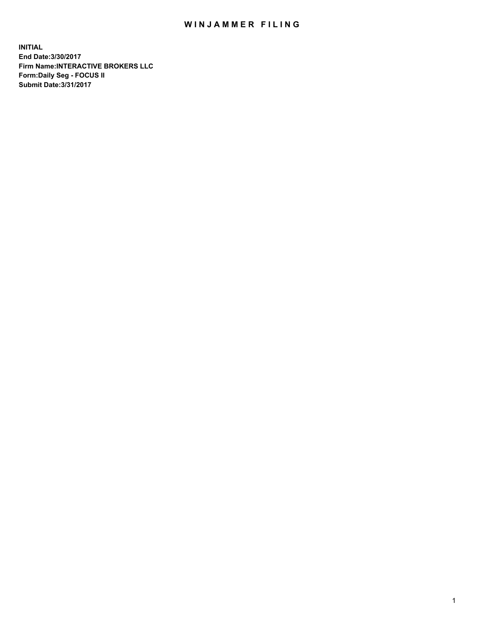## WIN JAMMER FILING

**INITIAL End Date:3/30/2017 Firm Name:INTERACTIVE BROKERS LLC Form:Daily Seg - FOCUS II Submit Date:3/31/2017**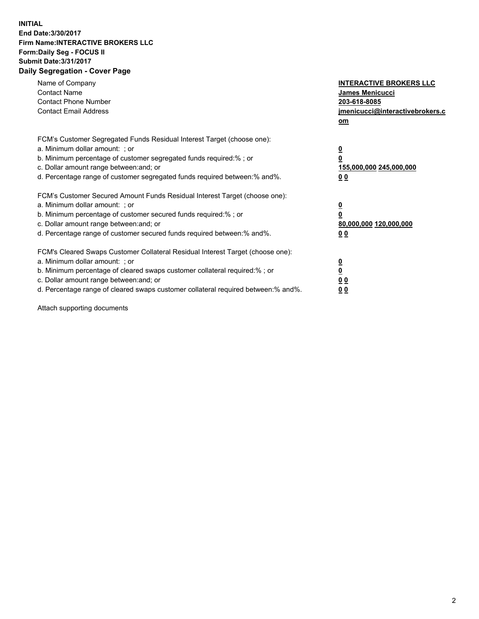## **INITIAL End Date:3/30/2017 Firm Name:INTERACTIVE BROKERS LLC Form:Daily Seg - FOCUS II Submit Date:3/31/2017 Daily Segregation - Cover Page**

| Name of Company<br><b>Contact Name</b><br><b>Contact Phone Number</b><br><b>Contact Email Address</b>                                                                                                                                                                                                                          | <b>INTERACTIVE BROKERS LLC</b><br>James Menicucci<br>203-618-8085<br>jmenicucci@interactivebrokers.c<br>om |
|--------------------------------------------------------------------------------------------------------------------------------------------------------------------------------------------------------------------------------------------------------------------------------------------------------------------------------|------------------------------------------------------------------------------------------------------------|
| FCM's Customer Segregated Funds Residual Interest Target (choose one):<br>a. Minimum dollar amount: ; or<br>b. Minimum percentage of customer segregated funds required:%; or<br>c. Dollar amount range between: and; or<br>d. Percentage range of customer segregated funds required between:% and%.                          | $\overline{\mathbf{0}}$<br>0<br>155,000,000 245,000,000<br>0 <sub>0</sub>                                  |
| FCM's Customer Secured Amount Funds Residual Interest Target (choose one):<br>a. Minimum dollar amount: ; or<br>b. Minimum percentage of customer secured funds required:%; or<br>c. Dollar amount range between: and; or<br>d. Percentage range of customer secured funds required between:% and%.                            | $\overline{\mathbf{0}}$<br>$\overline{\mathbf{0}}$<br>80,000,000 120,000,000<br>00                         |
| FCM's Cleared Swaps Customer Collateral Residual Interest Target (choose one):<br>a. Minimum dollar amount: ; or<br>b. Minimum percentage of cleared swaps customer collateral required:% ; or<br>c. Dollar amount range between: and; or<br>d. Percentage range of cleared swaps customer collateral required between:% and%. | $\overline{\mathbf{0}}$<br>$\overline{\mathbf{0}}$<br>0 <sub>0</sub><br><u>00</u>                          |

Attach supporting documents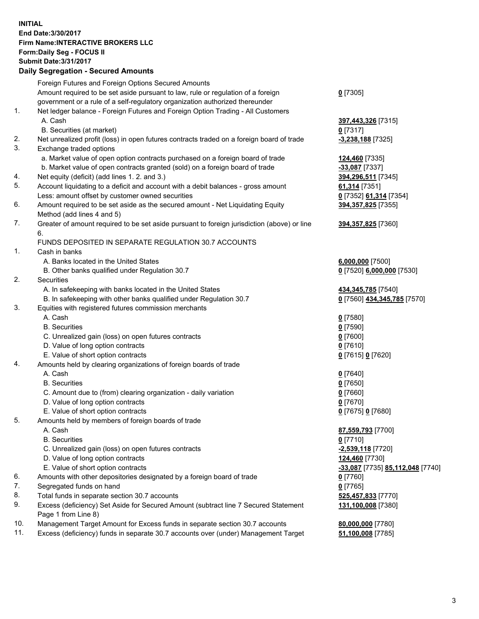## **INITIAL End Date:3/30/2017 Firm Name:INTERACTIVE BROKERS LLC Form:Daily Seg - FOCUS II Submit Date:3/31/2017**

|     | <b>Submit Date:3/31/2017</b><br><b>Daily Segregation - Secured Amounts</b>                                |                                  |
|-----|-----------------------------------------------------------------------------------------------------------|----------------------------------|
|     |                                                                                                           |                                  |
|     | Foreign Futures and Foreign Options Secured Amounts                                                       |                                  |
|     | Amount required to be set aside pursuant to law, rule or regulation of a foreign                          | $0$ [7305]                       |
|     | government or a rule of a self-regulatory organization authorized thereunder                              |                                  |
| 1.  | Net ledger balance - Foreign Futures and Foreign Option Trading - All Customers<br>A. Cash                | 397,443,326 [7315]               |
|     | B. Securities (at market)                                                                                 | $0$ [7317]                       |
| 2.  | Net unrealized profit (loss) in open futures contracts traded on a foreign board of trade                 | -3,238,188 [7325]                |
| 3.  | Exchange traded options<br>a. Market value of open option contracts purchased on a foreign board of trade | 124,460 [7335]                   |
|     | b. Market value of open contracts granted (sold) on a foreign board of trade                              | -33,087 [7337]                   |
| 4.  | Net equity (deficit) (add lines 1.2. and 3.)                                                              | 394,296,511 [7345]               |
| 5.  | Account liquidating to a deficit and account with a debit balances - gross amount                         | 61,314 [7351]                    |
|     | Less: amount offset by customer owned securities                                                          | 0 [7352] 61,314 [7354]           |
| 6.  | Amount required to be set aside as the secured amount - Net Liquidating Equity                            | 394, 357, 825 [7355]             |
|     | Method (add lines 4 and 5)                                                                                |                                  |
| 7.  | Greater of amount required to be set aside pursuant to foreign jurisdiction (above) or line<br>6.         | 394,357,825 [7360]               |
|     | FUNDS DEPOSITED IN SEPARATE REGULATION 30.7 ACCOUNTS                                                      |                                  |
| 1.  | Cash in banks                                                                                             |                                  |
|     | A. Banks located in the United States                                                                     | $6,000,000$ [7500]               |
|     | B. Other banks qualified under Regulation 30.7                                                            | 0 [7520] 6,000,000 [7530]        |
| 2.  | Securities                                                                                                |                                  |
|     | A. In safekeeping with banks located in the United States                                                 | 434, 345, 785 [7540]             |
|     | B. In safekeeping with other banks qualified under Regulation 30.7                                        | 0 [7560] 434,345,785 [7570]      |
| 3.  | Equities with registered futures commission merchants                                                     |                                  |
|     | A. Cash                                                                                                   | <u>0</u> [7580]                  |
|     | <b>B.</b> Securities                                                                                      | $0$ [7590]                       |
|     | C. Unrealized gain (loss) on open futures contracts                                                       | $0$ [7600]                       |
|     | D. Value of long option contracts                                                                         | $0$ [7610]                       |
|     | E. Value of short option contracts                                                                        | 0 [7615] 0 [7620]                |
| 4.  | Amounts held by clearing organizations of foreign boards of trade                                         |                                  |
|     | A. Cash                                                                                                   | 0 [7640]                         |
|     | <b>B.</b> Securities                                                                                      | $0$ [7650]                       |
|     | C. Amount due to (from) clearing organization - daily variation                                           | $0$ [7660]                       |
|     | D. Value of long option contracts                                                                         | $0$ [7670]                       |
|     | E. Value of short option contracts                                                                        | 0 [7675] 0 [7680]                |
| 5.  | Amounts held by members of foreign boards of trade                                                        |                                  |
|     | A. Cash                                                                                                   | 87,559,793 [7700]                |
|     | <b>B.</b> Securities                                                                                      | $0$ [7710]                       |
|     | C. Unrealized gain (loss) on open futures contracts                                                       | -2,539,118 [7720]                |
|     | D. Value of long option contracts                                                                         | 124,460 [7730]                   |
|     | E. Value of short option contracts                                                                        | -33,087 [7735] 85,112,048 [7740] |
| 6.  | Amounts with other depositories designated by a foreign board of trade                                    | 0 [7760]                         |
| 7.  | Segregated funds on hand                                                                                  | $0$ [7765]                       |
| 8.  | Total funds in separate section 30.7 accounts                                                             | 525,457,833 [7770]               |
| 9.  | Excess (deficiency) Set Aside for Secured Amount (subtract line 7 Secured Statement                       | 131,100,008 [7380]               |
|     | Page 1 from Line 8)                                                                                       |                                  |
| 10. | Management Target Amount for Excess funds in separate section 30.7 accounts                               | 80,000,000 [7780]                |
| 11. | Excess (deficiency) funds in separate 30.7 accounts over (under) Management Target                        | 51,100,008 [7785]                |
|     |                                                                                                           |                                  |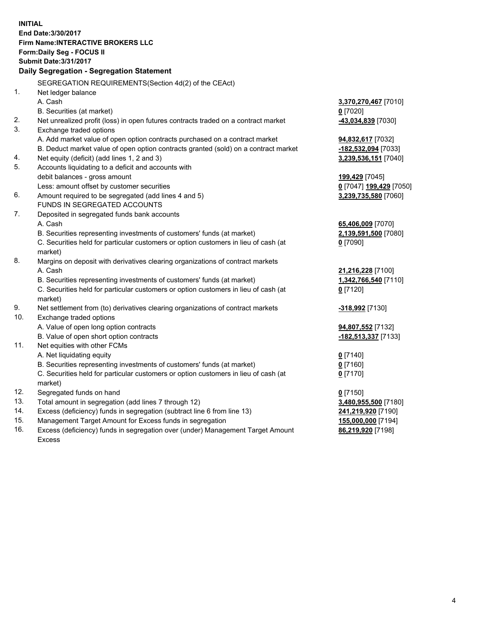**INITIAL End Date:3/30/2017 Firm Name:INTERACTIVE BROKERS LLC Form:Daily Seg - FOCUS II Submit Date:3/31/2017 Daily Segregation - Segregation Statement** SEGREGATION REQUIREMENTS(Section 4d(2) of the CEAct) 1. Net ledger balance A. Cash **3,370,270,467** [7010] B. Securities (at market) **0** [7020] 2. Net unrealized profit (loss) in open futures contracts traded on a contract market **-43,034,839** [7030] 3. Exchange traded options A. Add market value of open option contracts purchased on a contract market **94,832,617** [7032] B. Deduct market value of open option contracts granted (sold) on a contract market **-182,532,094** [7033] 4. Net equity (deficit) (add lines 1, 2 and 3) **3,239,536,151** [7040] 5. Accounts liquidating to a deficit and accounts with debit balances - gross amount **199,429** [7045] Less: amount offset by customer securities **0** [7047] **199,429** [7050] 6. Amount required to be segregated (add lines 4 and 5) **3,239,735,580** [7060] FUNDS IN SEGREGATED ACCOUNTS 7. Deposited in segregated funds bank accounts A. Cash **65,406,009** [7070] B. Securities representing investments of customers' funds (at market) **2,139,591,500** [7080] C. Securities held for particular customers or option customers in lieu of cash (at market) **0** [7090] 8. Margins on deposit with derivatives clearing organizations of contract markets A. Cash **21,216,228** [7100] B. Securities representing investments of customers' funds (at market) **1,342,766,540** [7110] C. Securities held for particular customers or option customers in lieu of cash (at market) **0** [7120] 9. Net settlement from (to) derivatives clearing organizations of contract markets **-318,992** [7130] 10. Exchange traded options A. Value of open long option contracts **94,807,552** [7132] B. Value of open short option contracts **-182,513,337** [7133] 11. Net equities with other FCMs A. Net liquidating equity **0** [7140] B. Securities representing investments of customers' funds (at market) **0** [7160] C. Securities held for particular customers or option customers in lieu of cash (at market) **0** [7170] 12. Segregated funds on hand **0** [7150] 13. Total amount in segregation (add lines 7 through 12) **3,480,955,500** [7180] 14. Excess (deficiency) funds in segregation (subtract line 6 from line 13) **241,219,920** [7190] 15. Management Target Amount for Excess funds in segregation **155,000,000** [7194]

16. Excess (deficiency) funds in segregation over (under) Management Target Amount Excess

**86,219,920** [7198]